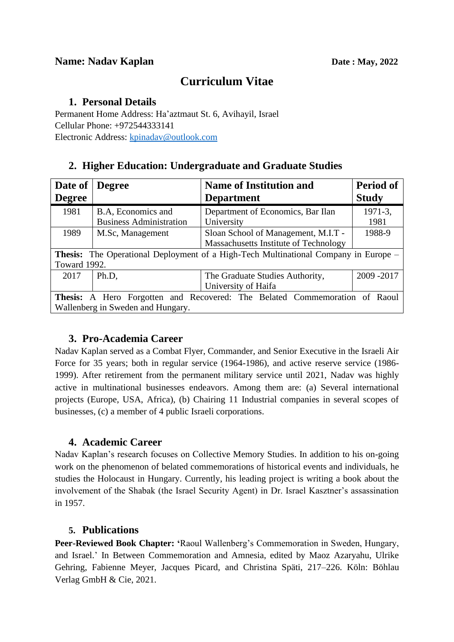# **Curriculum Vitae**

#### **1. Personal Details**

Permanent Home Address: Ha'aztmaut St. 6, Avihayil, Israel Cellular Phone: +972544333141 Electronic Address: [kpinadav@outlook.com](mailto:kpinadav@outlook.com)

## **2. Higher Education: Undergraduate and Graduate Studies**

| Date of                                                                                    | <b>Degree</b>                  | <b>Name of Institution and</b>        | <b>Period of</b> |
|--------------------------------------------------------------------------------------------|--------------------------------|---------------------------------------|------------------|
| <b>Degree</b>                                                                              |                                | <b>Department</b>                     | <b>Study</b>     |
| 1981                                                                                       | B.A, Economics and             | Department of Economics, Bar Ilan     | $1971 - 3$ ,     |
|                                                                                            | <b>Business Administration</b> | University                            | 1981             |
| 1989                                                                                       | M.Sc, Management               | Sloan School of Management, M.I.T -   | 1988-9           |
|                                                                                            |                                | Massachusetts Institute of Technology |                  |
| <b>Thesis:</b> The Operational Deployment of a High-Tech Multinational Company in Europe – |                                |                                       |                  |
| Toward 1992.                                                                               |                                |                                       |                  |
| 2017                                                                                       | Ph.D,                          | The Graduate Studies Authority,       | 2009-2017        |
|                                                                                            |                                | University of Haifa                   |                  |
| Thesis: A Hero Forgotten and Recovered: The Belated Commemoration of Raoul                 |                                |                                       |                  |
| Wallenberg in Sweden and Hungary.                                                          |                                |                                       |                  |

## **3. Pro-Academia Career**

Nadav Kaplan served as a Combat Flyer, Commander, and Senior Executive in the Israeli Air Force for 35 years; both in regular service (1964-1986), and active reserve service (1986- 1999). After retirement from the permanent military service until 2021, Nadav was highly active in multinational businesses endeavors. Among them are: (a) Several international projects (Europe, USA, Africa), (b) Chairing 11 Industrial companies in several scopes of businesses, (c) a member of 4 public Israeli corporations.

#### **4. Academic Career**

Nadav Kaplan's research focuses on Collective Memory Studies. In addition to his on-going work on the phenomenon of belated commemorations of historical events and individuals, he studies the Holocaust in Hungary. Currently, his leading project is writing a book about the involvement of the Shabak (the Israel Security Agent) in Dr. Israel Kasztner's assassination in 1957.

## **5. Publications**

**Peer-Reviewed Book Chapter: '**Raoul Wallenberg's Commemoration in Sweden, Hungary, and Israel.' In Between Commemoration and Amnesia, edited by Maoz Azaryahu, Ulrike Gehring, Fabienne Meyer, Jacques Picard, and Christina Späti, 217–226. Köln: Böhlau Verlag GmbH & Cie, 2021.